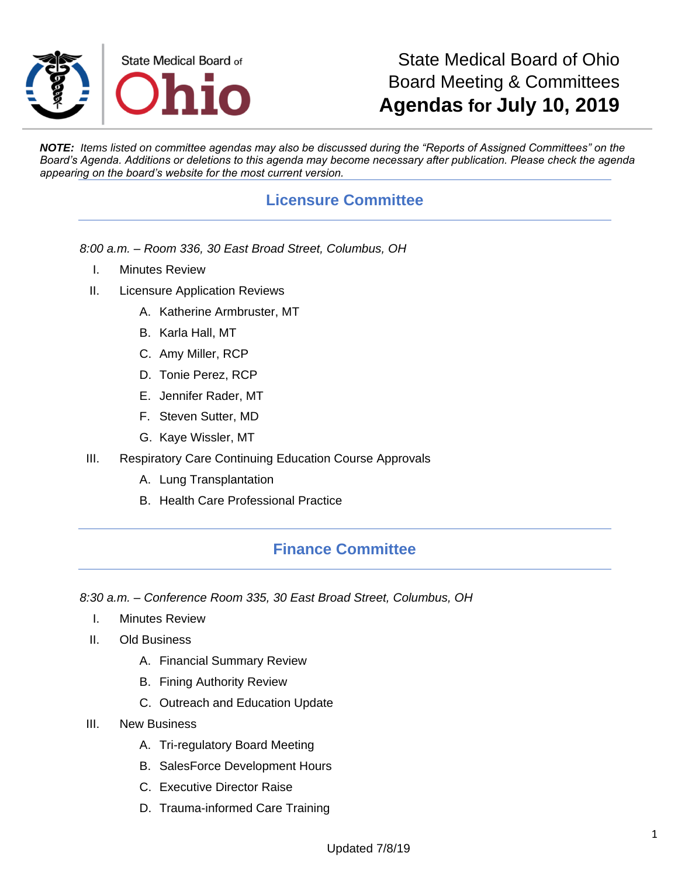

## State Medical Board of Ohio Board Meeting & Committees **Agendas for July 10, 2019**

*NOTE: Items listed on committee agendas may also be discussed during the "Reports of Assigned Committees" on the Board's Agenda. Additions or deletions to this agenda may become necessary after publication. Please check the agenda appearing on the board's website for the most current version.*

## **Licensure Committee**

*8:00 a.m. – Room 336, 30 East Broad Street, Columbus, OH*

- I. Minutes Review
- II. Licensure Application Reviews
	- A. Katherine Armbruster, MT
	- B. Karla Hall, MT
	- C. Amy Miller, RCP
	- D. Tonie Perez, RCP
	- E. Jennifer Rader, MT
	- F. Steven Sutter, MD
	- G. Kaye Wissler, MT
- III. Respiratory Care Continuing Education Course Approvals
	- A. Lung Transplantation
	- B. Health Care Professional Practice

#### **Finance Committee**

*8:30 a.m. – Conference Room 335, 30 East Broad Street, Columbus, OH*

- I. Minutes Review
- II. Old Business
	- A. Financial Summary Review
	- B. Fining Authority Review
	- C. Outreach and Education Update
- III. New Business
	- A. Tri-regulatory Board Meeting
	- B. SalesForce Development Hours
	- C. Executive Director Raise
	- D. Trauma-informed Care Training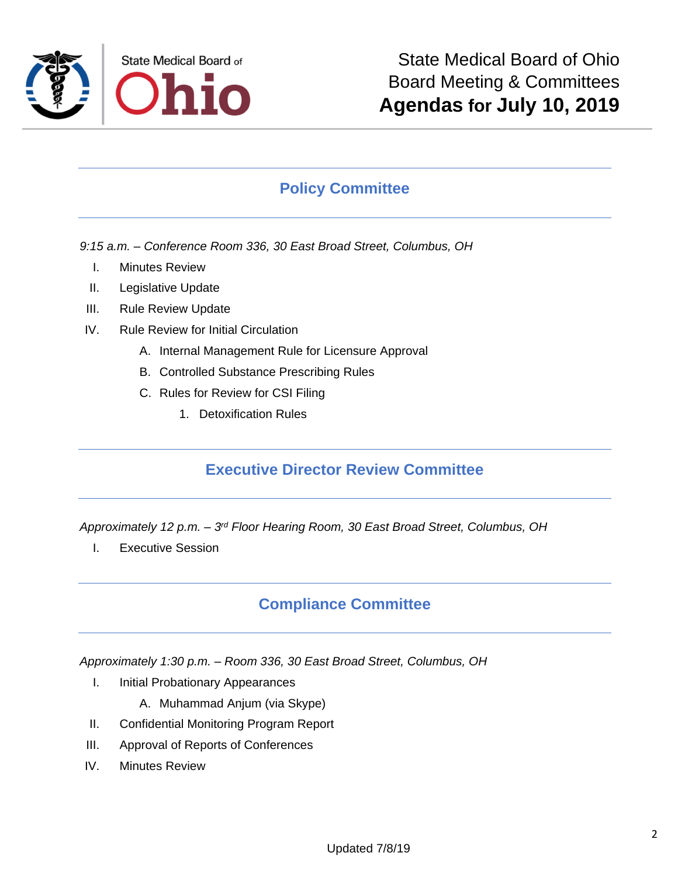

### **Policy Committee**

- *9:15 a.m. – Conference Room 336, 30 East Broad Street, Columbus, OH*
	- I. Minutes Review
	- II. Legislative Update
- III. Rule Review Update
- IV. Rule Review for Initial Circulation
	- A. Internal Management Rule for Licensure Approval
	- B. Controlled Substance Prescribing Rules
	- C. Rules for Review for CSI Filing
		- 1. Detoxification Rules

#### **Executive Director Review Committee**

*Approximately 12 p.m. – 3 rd Floor Hearing Room, 30 East Broad Street, Columbus, OH*

I. Executive Session

#### **Compliance Committee**

*Approximately 1:30 p.m. – Room 336, 30 East Broad Street, Columbus, OH*

- I. Initial Probationary Appearances
	- A. Muhammad Anjum (via Skype)
- II. Confidential Monitoring Program Report
- III. Approval of Reports of Conferences
- IV. Minutes Review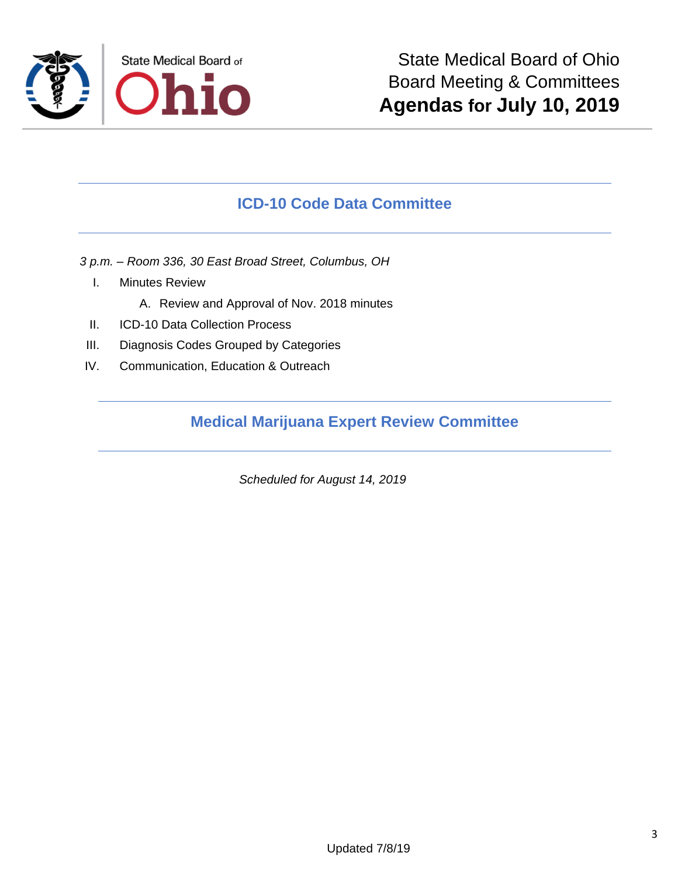

#### **ICD-10 Code Data Committee**

*3 p.m. – Room 336, 30 East Broad Street, Columbus, OH*

- I. Minutes Review
	- A. Review and Approval of Nov. 2018 minutes
- II. ICD-10 Data Collection Process
- III. Diagnosis Codes Grouped by Categories
- IV. Communication, Education & Outreach

#### **Medical Marijuana Expert Review Committee**

*Scheduled for August 14, 2019*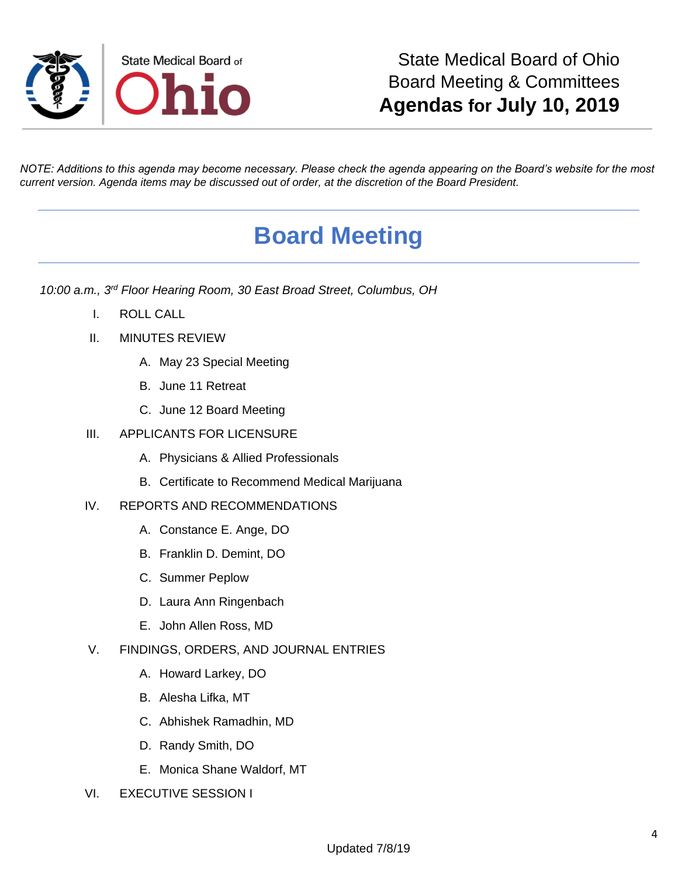

*NOTE: Additions to this agenda may become necessary. Please check the agenda appearing on the Board's website for the most current version. Agenda items may be discussed out of order, at the discretion of the Board President.*

# **Board Meeting**

*10:00 a.m., 3rd Floor Hearing Room, 30 East Broad Street, Columbus, OH*

- I. ROLL CALL
- II. MINUTES REVIEW
	- A. May 23 Special Meeting
	- B. June 11 Retreat
	- C. June 12 Board Meeting
- III. APPLICANTS FOR LICENSURE
	- A. Physicians & Allied Professionals
	- B. Certificate to Recommend Medical Marijuana
- IV. REPORTS AND RECOMMENDATIONS
	- A. Constance E. Ange, DO
	- B. Franklin D. Demint, DO
	- C. Summer Peplow
	- D. Laura Ann Ringenbach
	- E. John Allen Ross, MD
- V. FINDINGS, ORDERS, AND JOURNAL ENTRIES
	- A. Howard Larkey, DO
	- B. Alesha Lifka, MT
	- C. Abhishek Ramadhin, MD
	- D. Randy Smith, DO
	- E. Monica Shane Waldorf, MT
- VI. EXECUTIVE SESSION I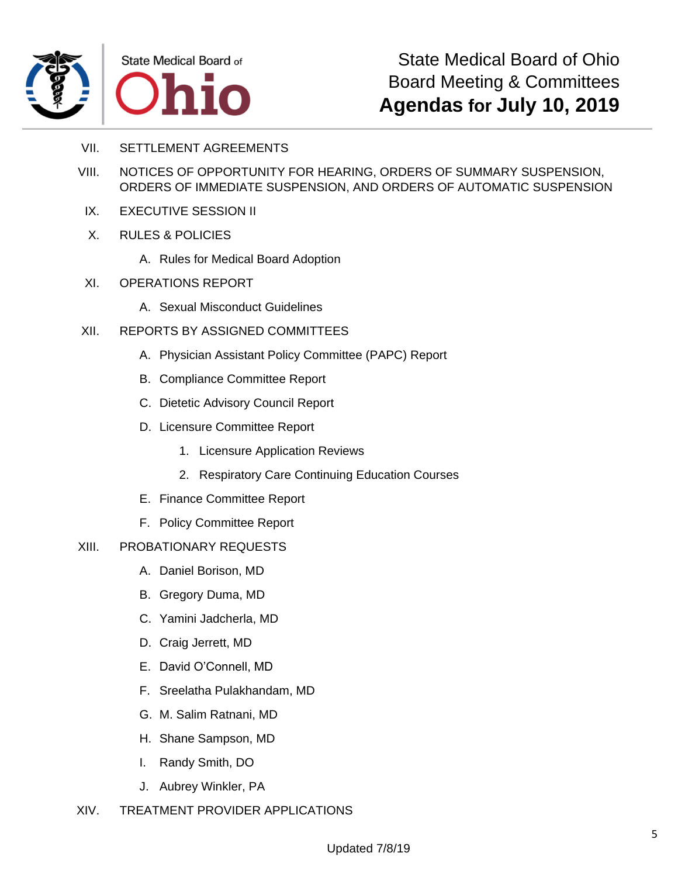



State Medical Board of Ohio Board Meeting & Committees **Agendas for July 10, 2019**

- VII. SETTLEMENT AGREEMENTS
- VIII. NOTICES OF OPPORTUNITY FOR HEARING, ORDERS OF SUMMARY SUSPENSION, ORDERS OF IMMEDIATE SUSPENSION, AND ORDERS OF AUTOMATIC SUSPENSION
- IX. EXECUTIVE SESSION II
- X. RULES & POLICIES
	- A. Rules for Medical Board Adoption
- XI. OPERATIONS REPORT
	- A. Sexual Misconduct Guidelines
- XII. REPORTS BY ASSIGNED COMMITTEES
	- A. Physician Assistant Policy Committee (PAPC) Report
	- B. Compliance Committee Report
	- C. Dietetic Advisory Council Report
	- D. Licensure Committee Report
		- 1. Licensure Application Reviews
		- 2. Respiratory Care Continuing Education Courses
	- E. Finance Committee Report
	- F. Policy Committee Report

#### XIII. PROBATIONARY REQUESTS

- A. Daniel Borison, MD
- B. Gregory Duma, MD
- C. Yamini Jadcherla, MD
- D. Craig Jerrett, MD
- E. David O'Connell, MD
- F. Sreelatha Pulakhandam, MD
- G. M. Salim Ratnani, MD
- H. Shane Sampson, MD
- I. Randy Smith, DO
- J. Aubrey Winkler, PA
- XIV. TREATMENT PROVIDER APPLICATIONS